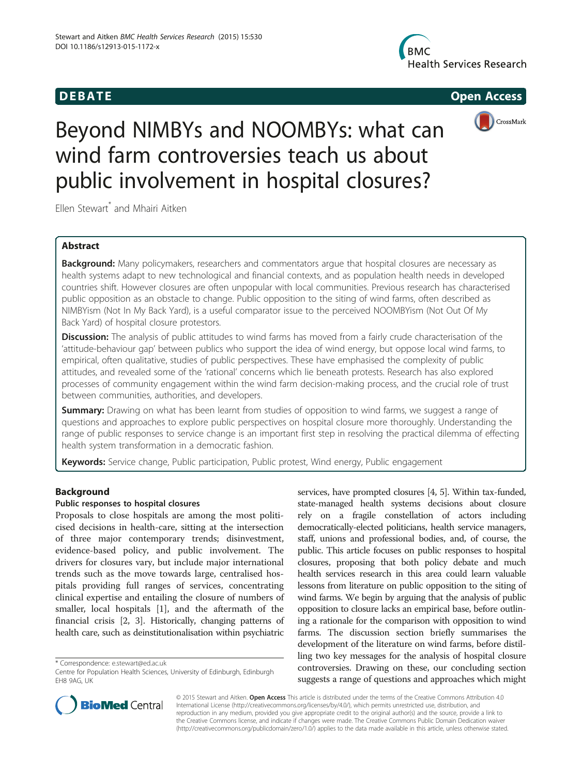

**DEBATE CONSIDERENT CONSIDERED ACCESS** 



# Beyond NIMBYs and NOOMBYs: what can wind farm controversies teach us about public involvement in hospital closures?

Ellen Stewart<sup>\*</sup> and Mhairi Aitken

# Abstract

Background: Many policymakers, researchers and commentators argue that hospital closures are necessary as health systems adapt to new technological and financial contexts, and as population health needs in developed countries shift. However closures are often unpopular with local communities. Previous research has characterised public opposition as an obstacle to change. Public opposition to the siting of wind farms, often described as NIMBYism (Not In My Back Yard), is a useful comparator issue to the perceived NOOMBYism (Not Out Of My Back Yard) of hospital closure protestors.

**Discussion:** The analysis of public attitudes to wind farms has moved from a fairly crude characterisation of the 'attitude-behaviour gap' between publics who support the idea of wind energy, but oppose local wind farms, to empirical, often qualitative, studies of public perspectives. These have emphasised the complexity of public attitudes, and revealed some of the 'rational' concerns which lie beneath protests. Research has also explored processes of community engagement within the wind farm decision-making process, and the crucial role of trust between communities, authorities, and developers.

**Summary:** Drawing on what has been learnt from studies of opposition to wind farms, we suggest a range of questions and approaches to explore public perspectives on hospital closure more thoroughly. Understanding the range of public responses to service change is an important first step in resolving the practical dilemma of effecting health system transformation in a democratic fashion.

Keywords: Service change, Public participation, Public protest, Wind energy, Public engagement

# Background

# Public responses to hospital closures

Proposals to close hospitals are among the most politicised decisions in health-care, sitting at the intersection of three major contemporary trends; disinvestment, evidence-based policy, and public involvement. The drivers for closures vary, but include major international trends such as the move towards large, centralised hospitals providing full ranges of services, concentrating clinical expertise and entailing the closure of numbers of smaller, local hospitals [\[1\]](#page-4-0), and the aftermath of the financial crisis [[2, 3](#page-4-0)]. Historically, changing patterns of health care, such as deinstitutionalisation within psychiatric

\* Correspondence: [e.stewart@ed.ac.uk](mailto:e.stewart@ed.ac.uk)

services, have prompted closures [\[4](#page-4-0), [5\]](#page-4-0). Within tax-funded, state-managed health systems decisions about closure rely on a fragile constellation of actors including democratically-elected politicians, health service managers, staff, unions and professional bodies, and, of course, the public. This article focuses on public responses to hospital closures, proposing that both policy debate and much health services research in this area could learn valuable lessons from literature on public opposition to the siting of wind farms. We begin by arguing that the analysis of public opposition to closure lacks an empirical base, before outlining a rationale for the comparison with opposition to wind farms. The discussion section briefly summarises the development of the literature on wind farms, before distilling two key messages for the analysis of hospital closure controversies. Drawing on these, our concluding section suggests a range of questions and approaches which might



© 2015 Stewart and Aitken. Open Access This article is distributed under the terms of the Creative Commons Attribution 4.0 International License [\(http://creativecommons.org/licenses/by/4.0/](http://creativecommons.org/licenses/by/4.0/)), which permits unrestricted use, distribution, and reproduction in any medium, provided you give appropriate credit to the original author(s) and the source, provide a link to the Creative Commons license, and indicate if changes were made. The Creative Commons Public Domain Dedication waiver [\(http://creativecommons.org/publicdomain/zero/1.0/](http://creativecommons.org/publicdomain/zero/1.0/)) applies to the data made available in this article, unless otherwise stated.

Centre for Population Health Sciences, University of Edinburgh, Edinburgh EH8 9AG, UK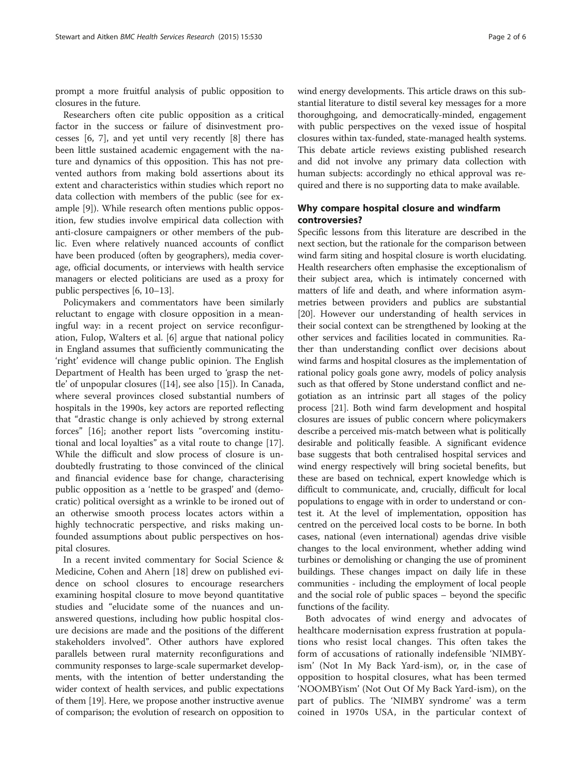prompt a more fruitful analysis of public opposition to closures in the future.

Researchers often cite public opposition as a critical factor in the success or failure of disinvestment processes [\[6](#page-5-0), [7\]](#page-5-0), and yet until very recently [\[8](#page-5-0)] there has been little sustained academic engagement with the nature and dynamics of this opposition. This has not prevented authors from making bold assertions about its extent and characteristics within studies which report no data collection with members of the public (see for example [[9\]](#page-5-0)). While research often mentions public opposition, few studies involve empirical data collection with anti-closure campaigners or other members of the public. Even where relatively nuanced accounts of conflict have been produced (often by geographers), media coverage, official documents, or interviews with health service managers or elected politicians are used as a proxy for public perspectives [\[6](#page-5-0), [10](#page-5-0)–[13\]](#page-5-0).

Policymakers and commentators have been similarly reluctant to engage with closure opposition in a meaningful way: in a recent project on service reconfiguration, Fulop, Walters et al. [\[6](#page-5-0)] argue that national policy in England assumes that sufficiently communicating the 'right' evidence will change public opinion. The English Department of Health has been urged to 'grasp the nettle' of unpopular closures ([[14\]](#page-5-0), see also [\[15\]](#page-5-0)). In Canada, where several provinces closed substantial numbers of hospitals in the 1990s, key actors are reported reflecting that "drastic change is only achieved by strong external forces" [\[16](#page-5-0)]; another report lists "overcoming institutional and local loyalties" as a vital route to change [\[17](#page-5-0)]. While the difficult and slow process of closure is undoubtedly frustrating to those convinced of the clinical and financial evidence base for change, characterising public opposition as a 'nettle to be grasped' and (democratic) political oversight as a wrinkle to be ironed out of an otherwise smooth process locates actors within a highly technocratic perspective, and risks making unfounded assumptions about public perspectives on hospital closures.

In a recent invited commentary for Social Science & Medicine, Cohen and Ahern [[18\]](#page-5-0) drew on published evidence on school closures to encourage researchers examining hospital closure to move beyond quantitative studies and "elucidate some of the nuances and unanswered questions, including how public hospital closure decisions are made and the positions of the different stakeholders involved". Other authors have explored parallels between rural maternity reconfigurations and community responses to large-scale supermarket developments, with the intention of better understanding the wider context of health services, and public expectations of them [[19](#page-5-0)]. Here, we propose another instructive avenue of comparison; the evolution of research on opposition to

wind energy developments. This article draws on this substantial literature to distil several key messages for a more thoroughgoing, and democratically-minded, engagement with public perspectives on the vexed issue of hospital closures within tax-funded, state-managed health systems. This debate article reviews existing published research and did not involve any primary data collection with human subjects: accordingly no ethical approval was required and there is no supporting data to make available.

# Why compare hospital closure and windfarm controversies?

Specific lessons from this literature are described in the next section, but the rationale for the comparison between wind farm siting and hospital closure is worth elucidating. Health researchers often emphasise the exceptionalism of their subject area, which is intimately concerned with matters of life and death, and where information asymmetries between providers and publics are substantial [[20](#page-5-0)]. However our understanding of health services in their social context can be strengthened by looking at the other services and facilities located in communities. Rather than understanding conflict over decisions about wind farms and hospital closures as the implementation of rational policy goals gone awry, models of policy analysis such as that offered by Stone understand conflict and negotiation as an intrinsic part all stages of the policy process [\[21\]](#page-5-0). Both wind farm development and hospital closures are issues of public concern where policymakers describe a perceived mis-match between what is politically desirable and politically feasible. A significant evidence base suggests that both centralised hospital services and wind energy respectively will bring societal benefits, but these are based on technical, expert knowledge which is difficult to communicate, and, crucially, difficult for local populations to engage with in order to understand or contest it. At the level of implementation, opposition has centred on the perceived local costs to be borne. In both cases, national (even international) agendas drive visible changes to the local environment, whether adding wind turbines or demolishing or changing the use of prominent buildings. These changes impact on daily life in these communities - including the employment of local people and the social role of public spaces – beyond the specific functions of the facility.

Both advocates of wind energy and advocates of healthcare modernisation express frustration at populations who resist local changes. This often takes the form of accusations of rationally indefensible 'NIMBYism' (Not In My Back Yard-ism), or, in the case of opposition to hospital closures, what has been termed 'NOOMBYism' (Not Out Of My Back Yard-ism), on the part of publics. The 'NIMBY syndrome' was a term coined in 1970s USA, in the particular context of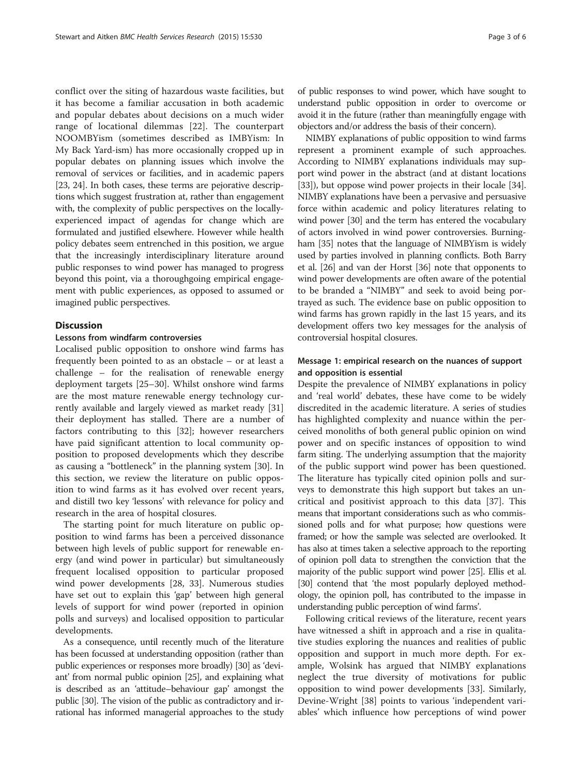conflict over the siting of hazardous waste facilities, but it has become a familiar accusation in both academic and popular debates about decisions on a much wider range of locational dilemmas [[22](#page-5-0)]. The counterpart NOOMBYism (sometimes described as IMBYism: In My Back Yard-ism) has more occasionally cropped up in popular debates on planning issues which involve the removal of services or facilities, and in academic papers [[23](#page-5-0), [24](#page-5-0)]. In both cases, these terms are pejorative descriptions which suggest frustration at, rather than engagement with, the complexity of public perspectives on the locallyexperienced impact of agendas for change which are formulated and justified elsewhere. However while health policy debates seem entrenched in this position, we argue that the increasingly interdisciplinary literature around public responses to wind power has managed to progress beyond this point, via a thoroughgoing empirical engagement with public experiences, as opposed to assumed or imagined public perspectives.

# **Discussion**

### Lessons from windfarm controversies

Localised public opposition to onshore wind farms has frequently been pointed to as an obstacle – or at least a challenge – for the realisation of renewable energy deployment targets [\[25](#page-5-0)–[30\]](#page-5-0). Whilst onshore wind farms are the most mature renewable energy technology currently available and largely viewed as market ready [[31](#page-5-0)] their deployment has stalled. There are a number of factors contributing to this [[32\]](#page-5-0); however researchers have paid significant attention to local community opposition to proposed developments which they describe as causing a "bottleneck" in the planning system [\[30](#page-5-0)]. In this section, we review the literature on public opposition to wind farms as it has evolved over recent years, and distill two key 'lessons' with relevance for policy and research in the area of hospital closures.

The starting point for much literature on public opposition to wind farms has been a perceived dissonance between high levels of public support for renewable energy (and wind power in particular) but simultaneously frequent localised opposition to particular proposed wind power developments [[28, 33\]](#page-5-0). Numerous studies have set out to explain this 'gap' between high general levels of support for wind power (reported in opinion polls and surveys) and localised opposition to particular developments.

As a consequence, until recently much of the literature has been focussed at understanding opposition (rather than public experiences or responses more broadly) [[30](#page-5-0)] as 'deviant' from normal public opinion [\[25\]](#page-5-0), and explaining what is described as an 'attitude–behaviour gap' amongst the public [\[30\]](#page-5-0). The vision of the public as contradictory and irrational has informed managerial approaches to the study of public responses to wind power, which have sought to understand public opposition in order to overcome or avoid it in the future (rather than meaningfully engage with objectors and/or address the basis of their concern).

NIMBY explanations of public opposition to wind farms represent a prominent example of such approaches. According to NIMBY explanations individuals may support wind power in the abstract (and at distant locations [[33](#page-5-0)]), but oppose wind power projects in their locale [[34](#page-5-0)]. NIMBY explanations have been a pervasive and persuasive force within academic and policy literatures relating to wind power [[30](#page-5-0)] and the term has entered the vocabulary of actors involved in wind power controversies. Burningham [[35](#page-5-0)] notes that the language of NIMBYism is widely used by parties involved in planning conflicts. Both Barry et al. [[26](#page-5-0)] and van der Horst [\[36](#page-5-0)] note that opponents to wind power developments are often aware of the potential to be branded a "NIMBY" and seek to avoid being portrayed as such. The evidence base on public opposition to wind farms has grown rapidly in the last 15 years, and its development offers two key messages for the analysis of controversial hospital closures.

# Message 1: empirical research on the nuances of support and opposition is essential

Despite the prevalence of NIMBY explanations in policy and 'real world' debates, these have come to be widely discredited in the academic literature. A series of studies has highlighted complexity and nuance within the perceived monoliths of both general public opinion on wind power and on specific instances of opposition to wind farm siting. The underlying assumption that the majority of the public support wind power has been questioned. The literature has typically cited opinion polls and surveys to demonstrate this high support but takes an uncritical and positivist approach to this data [[37\]](#page-5-0). This means that important considerations such as who commissioned polls and for what purpose; how questions were framed; or how the sample was selected are overlooked. It has also at times taken a selective approach to the reporting of opinion poll data to strengthen the conviction that the majority of the public support wind power [\[25](#page-5-0)]. Ellis et al. [[30](#page-5-0)] contend that 'the most popularly deployed methodology, the opinion poll, has contributed to the impasse in understanding public perception of wind farms'.

Following critical reviews of the literature, recent years have witnessed a shift in approach and a rise in qualitative studies exploring the nuances and realities of public opposition and support in much more depth. For example, Wolsink has argued that NIMBY explanations neglect the true diversity of motivations for public opposition to wind power developments [\[33](#page-5-0)]. Similarly, Devine-Wright [[38\]](#page-5-0) points to various 'independent variables' which influence how perceptions of wind power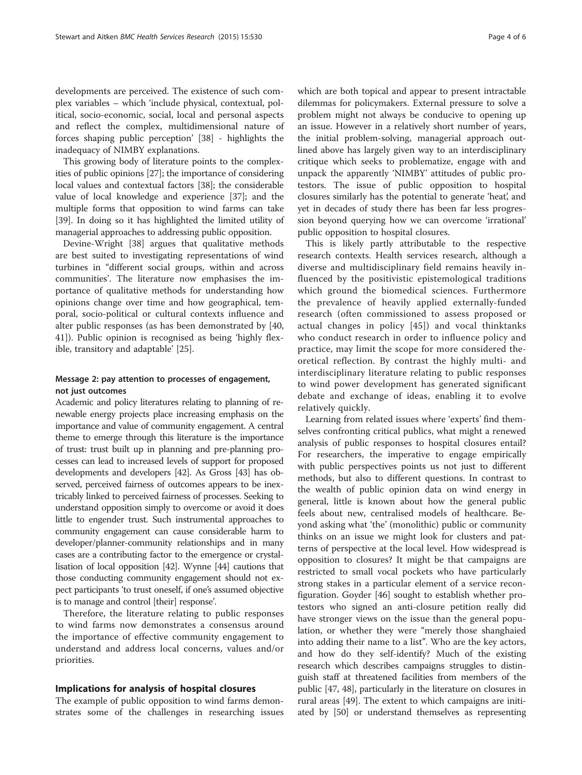developments are perceived. The existence of such complex variables – which 'include physical, contextual, political, socio-economic, social, local and personal aspects and reflect the complex, multidimensional nature of forces shaping public perception' [\[38\]](#page-5-0) - highlights the inadequacy of NIMBY explanations.

This growing body of literature points to the complexities of public opinions [\[27\]](#page-5-0); the importance of considering local values and contextual factors [\[38\]](#page-5-0); the considerable value of local knowledge and experience [\[37\]](#page-5-0); and the multiple forms that opposition to wind farms can take [[39](#page-5-0)]. In doing so it has highlighted the limited utility of managerial approaches to addressing public opposition.

Devine-Wright [\[38\]](#page-5-0) argues that qualitative methods are best suited to investigating representations of wind turbines in "different social groups, within and across communities'. The literature now emphasises the importance of qualitative methods for understanding how opinions change over time and how geographical, temporal, socio-political or cultural contexts influence and alter public responses (as has been demonstrated by [[40](#page-5-0), [41\]](#page-5-0)). Public opinion is recognised as being 'highly flexible, transitory and adaptable' [[25](#page-5-0)].

# Message 2: pay attention to processes of engagement, not just outcomes

Academic and policy literatures relating to planning of renewable energy projects place increasing emphasis on the importance and value of community engagement. A central theme to emerge through this literature is the importance of trust: trust built up in planning and pre-planning processes can lead to increased levels of support for proposed developments and developers [[42](#page-5-0)]. As Gross [[43](#page-5-0)] has observed, perceived fairness of outcomes appears to be inextricably linked to perceived fairness of processes. Seeking to understand opposition simply to overcome or avoid it does little to engender trust. Such instrumental approaches to community engagement can cause considerable harm to developer/planner-community relationships and in many cases are a contributing factor to the emergence or crystallisation of local opposition [\[42\]](#page-5-0). Wynne [[44](#page-5-0)] cautions that those conducting community engagement should not expect participants 'to trust oneself, if one's assumed objective is to manage and control [their] response'.

Therefore, the literature relating to public responses to wind farms now demonstrates a consensus around the importance of effective community engagement to understand and address local concerns, values and/or priorities.

#### Implications for analysis of hospital closures

The example of public opposition to wind farms demonstrates some of the challenges in researching issues

which are both topical and appear to present intractable dilemmas for policymakers. External pressure to solve a problem might not always be conducive to opening up an issue. However in a relatively short number of years, the initial problem-solving, managerial approach outlined above has largely given way to an interdisciplinary critique which seeks to problematize, engage with and unpack the apparently 'NIMBY' attitudes of public protestors. The issue of public opposition to hospital closures similarly has the potential to generate 'heat', and yet in decades of study there has been far less progression beyond querying how we can overcome 'irrational' public opposition to hospital closures.

This is likely partly attributable to the respective research contexts. Health services research, although a diverse and multidisciplinary field remains heavily influenced by the positivistic epistemological traditions which ground the biomedical sciences. Furthermore the prevalence of heavily applied externally-funded research (often commissioned to assess proposed or actual changes in policy [[45](#page-5-0)]) and vocal thinktanks who conduct research in order to influence policy and practice, may limit the scope for more considered theoretical reflection. By contrast the highly multi- and interdisciplinary literature relating to public responses to wind power development has generated significant debate and exchange of ideas, enabling it to evolve relatively quickly.

Learning from related issues where 'experts' find themselves confronting critical publics, what might a renewed analysis of public responses to hospital closures entail? For researchers, the imperative to engage empirically with public perspectives points us not just to different methods, but also to different questions. In contrast to the wealth of public opinion data on wind energy in general, little is known about how the general public feels about new, centralised models of healthcare. Beyond asking what 'the' (monolithic) public or community thinks on an issue we might look for clusters and patterns of perspective at the local level. How widespread is opposition to closures? It might be that campaigns are restricted to small vocal pockets who have particularly strong stakes in a particular element of a service reconfiguration. Goyder [[46\]](#page-5-0) sought to establish whether protestors who signed an anti-closure petition really did have stronger views on the issue than the general population, or whether they were "merely those shanghaied into adding their name to a list". Who are the key actors, and how do they self-identify? Much of the existing research which describes campaigns struggles to distinguish staff at threatened facilities from members of the public [\[47](#page-5-0), [48\]](#page-5-0), particularly in the literature on closures in rural areas [\[49\]](#page-5-0). The extent to which campaigns are initiated by [\[50](#page-5-0)] or understand themselves as representing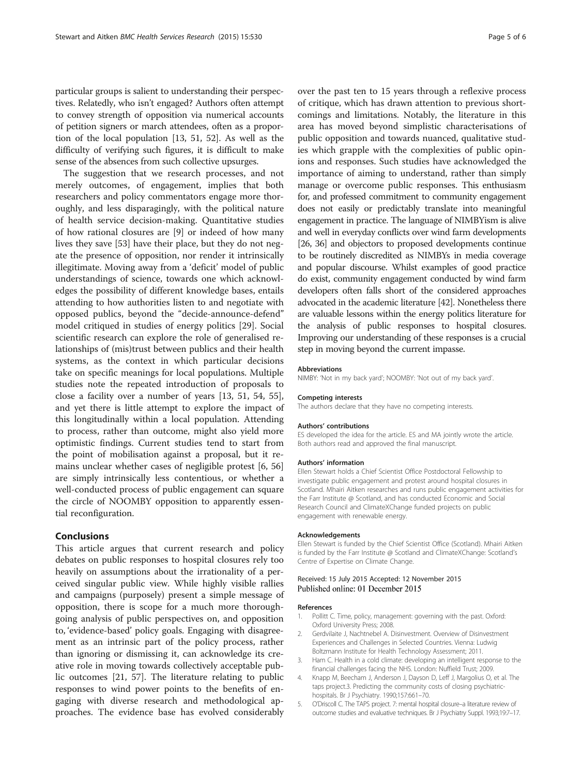<span id="page-4-0"></span>particular groups is salient to understanding their perspectives. Relatedly, who isn't engaged? Authors often attempt to convey strength of opposition via numerical accounts of petition signers or march attendees, often as a proportion of the local population [\[13, 51, 52\]](#page-5-0). As well as the difficulty of verifying such figures, it is difficult to make sense of the absences from such collective upsurges.

The suggestion that we research processes, and not merely outcomes, of engagement, implies that both researchers and policy commentators engage more thoroughly, and less disparagingly, with the political nature of health service decision-making. Quantitative studies of how rational closures are [\[9](#page-5-0)] or indeed of how many lives they save [[53](#page-5-0)] have their place, but they do not negate the presence of opposition, nor render it intrinsically illegitimate. Moving away from a 'deficit' model of public understandings of science, towards one which acknowledges the possibility of different knowledge bases, entails attending to how authorities listen to and negotiate with opposed publics, beyond the "decide-announce-defend" model critiqued in studies of energy politics [[29\]](#page-5-0). Social scientific research can explore the role of generalised relationships of (mis)trust between publics and their health systems, as the context in which particular decisions take on specific meanings for local populations. Multiple studies note the repeated introduction of proposals to close a facility over a number of years [\[13, 51](#page-5-0), [54](#page-5-0), [55](#page-5-0)], and yet there is little attempt to explore the impact of this longitudinally within a local population. Attending to process, rather than outcome, might also yield more optimistic findings. Current studies tend to start from the point of mobilisation against a proposal, but it remains unclear whether cases of negligible protest [\[6](#page-5-0), [56](#page-5-0)] are simply intrinsically less contentious, or whether a well-conducted process of public engagement can square the circle of NOOMBY opposition to apparently essential reconfiguration.

# Conclusions

This article argues that current research and policy debates on public responses to hospital closures rely too heavily on assumptions about the irrationality of a perceived singular public view. While highly visible rallies and campaigns (purposely) present a simple message of opposition, there is scope for a much more thoroughgoing analysis of public perspectives on, and opposition to, 'evidence-based' policy goals. Engaging with disagreement as an intrinsic part of the policy process, rather than ignoring or dismissing it, can acknowledge its creative role in moving towards collectively acceptable public outcomes [\[21, 57](#page-5-0)]. The literature relating to public responses to wind power points to the benefits of engaging with diverse research and methodological approaches. The evidence base has evolved considerably

over the past ten to 15 years through a reflexive process of critique, which has drawn attention to previous shortcomings and limitations. Notably, the literature in this area has moved beyond simplistic characterisations of public opposition and towards nuanced, qualitative studies which grapple with the complexities of public opinions and responses. Such studies have acknowledged the importance of aiming to understand, rather than simply manage or overcome public responses. This enthusiasm for, and professed commitment to community engagement does not easily or predictably translate into meaningful engagement in practice. The language of NIMBYism is alive and well in everyday conflicts over wind farm developments [[26](#page-5-0), [36](#page-5-0)] and objectors to proposed developments continue to be routinely discredited as NIMBYs in media coverage and popular discourse. Whilst examples of good practice do exist, community engagement conducted by wind farm developers often falls short of the considered approaches advocated in the academic literature [\[42\]](#page-5-0). Nonetheless there are valuable lessons within the energy politics literature for the analysis of public responses to hospital closures. Improving our understanding of these responses is a crucial step in moving beyond the current impasse.

#### Abbreviations

NIMBY: 'Not in my back yard'; NOOMBY: 'Not out of my back yard'.

#### Competing interests

The authors declare that they have no competing interests.

#### Authors' contributions

ES developed the idea for the article. ES and MA jointly wrote the article. Both authors read and approved the final manuscript.

#### Authors' information

Ellen Stewart holds a Chief Scientist Office Postdoctoral Fellowship to investigate public engagement and protest around hospital closures in Scotland. Mhairi Aitken researches and runs public engagement activities for the Farr Institute @ Scotland, and has conducted Economic and Social Research Council and ClimateXChange funded projects on public engagement with renewable energy.

#### Acknowledgements

Ellen Stewart is funded by the Chief Scientist Office (Scotland). Mhairi Aitken is funded by the Farr Institute @ Scotland and ClimateXChange: Scotland's Centre of Expertise on Climate Change.

#### Received: 15 July 2015 Accepted: 12 November 2015 Published online: 01 December 2015

#### References

- Pollitt C. Time, policy, management: governing with the past. Oxford: Oxford University Press; 2008.
- 2. Gerdvilaite J, Nachtnebel A. Disinvestment. Overview of Disinvestment Experiences and Challenges in Selected Countries. Vienna: Ludwig Boltzmann Institute for Health Technology Assessment; 2011.
- 3. Ham C. Health in a cold climate: developing an intelligent response to the financial challenges facing the NHS. London: Nuffield Trust; 2009.
- 4. Knapp M, Beecham J, Anderson J, Dayson D, Leff J, Margolius O, et al. The taps project.3. Predicting the community costs of closing psychiatrichospitals. Br J Psychiatry. 1990;157:661–70.
- 5. O'Driscoll C. The TAPS project. 7: mental hospital closure–a literature review of outcome studies and evaluative techniques. Br J Psychiatry Suppl. 1993;19:7–17.